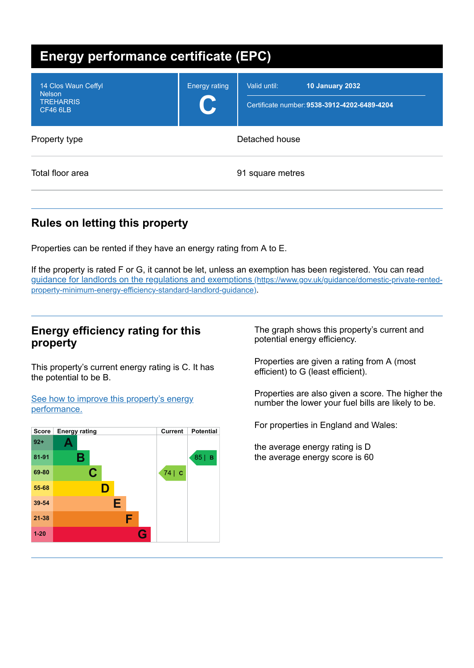| <b>Energy performance certificate (EPC)</b>                                 |                      |                                                                                        |  |  |  |
|-----------------------------------------------------------------------------|----------------------|----------------------------------------------------------------------------------------|--|--|--|
| 14 Clos Waun Ceffyl<br><b>Nelson</b><br><b>TREHARRIS</b><br><b>CF46 6LB</b> | <b>Energy rating</b> | Valid until:<br><b>10 January 2032</b><br>Certificate number: 9538-3912-4202-6489-4204 |  |  |  |
| Property type                                                               |                      | Detached house                                                                         |  |  |  |
| Total floor area                                                            |                      | 91 square metres                                                                       |  |  |  |

# **Rules on letting this property**

Properties can be rented if they have an energy rating from A to E.

If the property is rated F or G, it cannot be let, unless an exemption has been registered. You can read guidance for landlords on the regulations and exemptions (https://www.gov.uk/guidance/domestic-private-rented[property-minimum-energy-efficiency-standard-landlord-guidance\)](https://www.gov.uk/guidance/domestic-private-rented-property-minimum-energy-efficiency-standard-landlord-guidance).

## **Energy efficiency rating for this property**

This property's current energy rating is C. It has the potential to be B.

See how to improve this property's energy [performance.](#page-2-0)



The graph shows this property's current and potential energy efficiency.

Properties are given a rating from A (most efficient) to G (least efficient).

Properties are also given a score. The higher the number the lower your fuel bills are likely to be.

For properties in England and Wales:

the average energy rating is D the average energy score is 60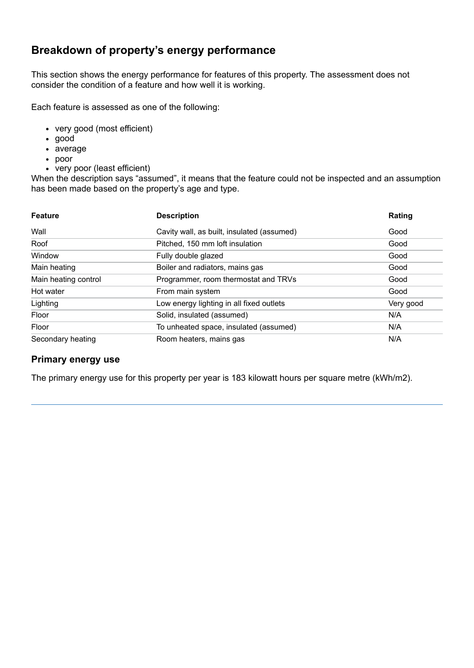# **Breakdown of property's energy performance**

This section shows the energy performance for features of this property. The assessment does not consider the condition of a feature and how well it is working.

Each feature is assessed as one of the following:

- very good (most efficient)
- good
- average
- poor
- very poor (least efficient)

When the description says "assumed", it means that the feature could not be inspected and an assumption has been made based on the property's age and type.

| <b>Feature</b>       | <b>Description</b>                         | Rating    |
|----------------------|--------------------------------------------|-----------|
| Wall                 | Cavity wall, as built, insulated (assumed) | Good      |
| Roof                 | Pitched, 150 mm loft insulation            | Good      |
| Window               | Fully double glazed                        | Good      |
| Main heating         | Boiler and radiators, mains gas            | Good      |
| Main heating control | Programmer, room thermostat and TRVs       | Good      |
| Hot water            | From main system                           | Good      |
| Lighting             | Low energy lighting in all fixed outlets   | Very good |
| Floor                | Solid, insulated (assumed)                 | N/A       |
| Floor                | To unheated space, insulated (assumed)     | N/A       |
| Secondary heating    | Room heaters, mains gas                    | N/A       |

#### **Primary energy use**

The primary energy use for this property per year is 183 kilowatt hours per square metre (kWh/m2).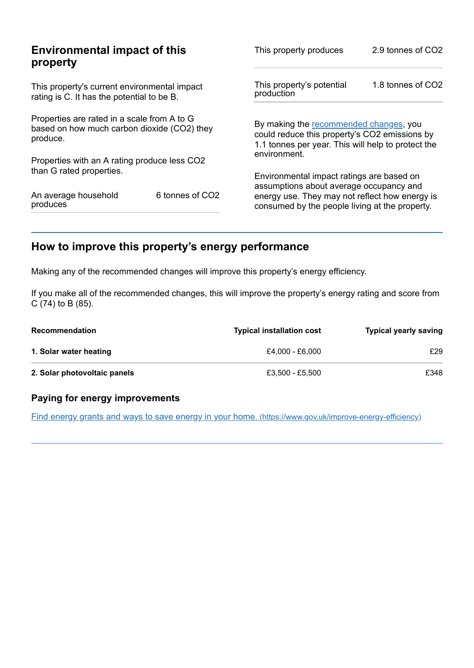| This property produces                                                                                                                        | 2.9 tonnes of CO2                                       |
|-----------------------------------------------------------------------------------------------------------------------------------------------|---------------------------------------------------------|
| This property's potential<br>production                                                                                                       | 1.8 tonnes of CO2                                       |
| By making the recommended changes, you<br>could reduce this property's CO2 emissions by<br>1.1 tonnes per year. This will help to protect the |                                                         |
|                                                                                                                                               |                                                         |
| Environmental impact ratings are based on                                                                                                     |                                                         |
| energy use. They may not reflect how energy is<br>consumed by the people living at the property.                                              |                                                         |
|                                                                                                                                               | environment.<br>assumptions about average occupancy and |

# <span id="page-2-0"></span>**How to improve this property's energy performance**

Making any of the recommended changes will improve this property's energy efficiency.

If you make all of the recommended changes, this will improve the property's energy rating and score from C (74) to B (85).

| <b>Recommendation</b>        | <b>Typical installation cost</b> | <b>Typical yearly saving</b> |
|------------------------------|----------------------------------|------------------------------|
| 1. Solar water heating       | £4.000 - £6.000                  | £29                          |
| 2. Solar photovoltaic panels | £3,500 - £5,500                  | £348                         |

#### **Paying for energy improvements**

Find energy grants and ways to save energy in your home. [\(https://www.gov.uk/improve-energy-efficiency\)](https://www.gov.uk/improve-energy-efficiency)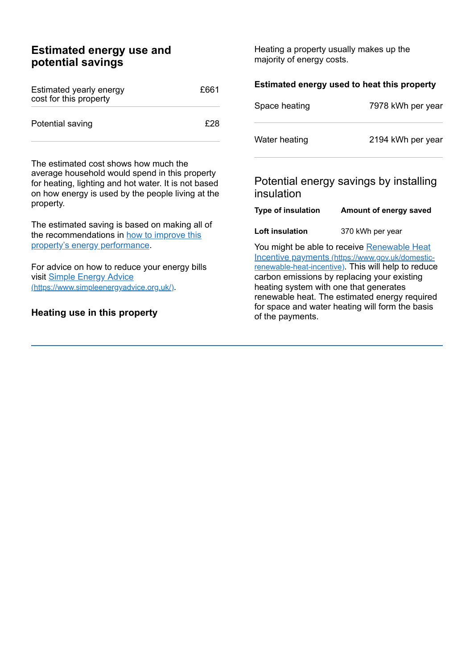## **Estimated energy use and potential savings**

| Estimated yearly energy<br>cost for this property | £661 |
|---------------------------------------------------|------|
| Potential saving                                  | F28  |

The estimated cost shows how much the average household would spend in this property for heating, lighting and hot water. It is not based on how energy is used by the people living at the property.

The estimated saving is based on making all of the [recommendations](#page-2-0) in how to improve this property's energy performance.

For advice on how to reduce your energy bills visit Simple Energy Advice [\(https://www.simpleenergyadvice.org.uk/\)](https://www.simpleenergyadvice.org.uk/).

#### **Heating use in this property**

Heating a property usually makes up the majority of energy costs.

| Estimated energy used to heat this property |                                                                                                                                                                                                                                                                                                  |  |  |
|---------------------------------------------|--------------------------------------------------------------------------------------------------------------------------------------------------------------------------------------------------------------------------------------------------------------------------------------------------|--|--|
| Space heating                               | 7978 kWh per year                                                                                                                                                                                                                                                                                |  |  |
| Water heating                               | 2194 kWh per year                                                                                                                                                                                                                                                                                |  |  |
| insulation                                  | Potential energy savings by installing                                                                                                                                                                                                                                                           |  |  |
| <b>Type of insulation</b>                   | Amount of energy saved                                                                                                                                                                                                                                                                           |  |  |
| Loft insulation                             | 370 kWh per year                                                                                                                                                                                                                                                                                 |  |  |
|                                             | You might be able to receive Renewable Heat<br>Incentive payments (https://www.gov.uk/domestic-<br>renewable-heat-incentive). This will help to reduce<br>carbon emissions by replacing your existing<br>heating system with one that generates<br>renewable heat. The estimated energy required |  |  |

for space and water heating will form the basis

of the payments.